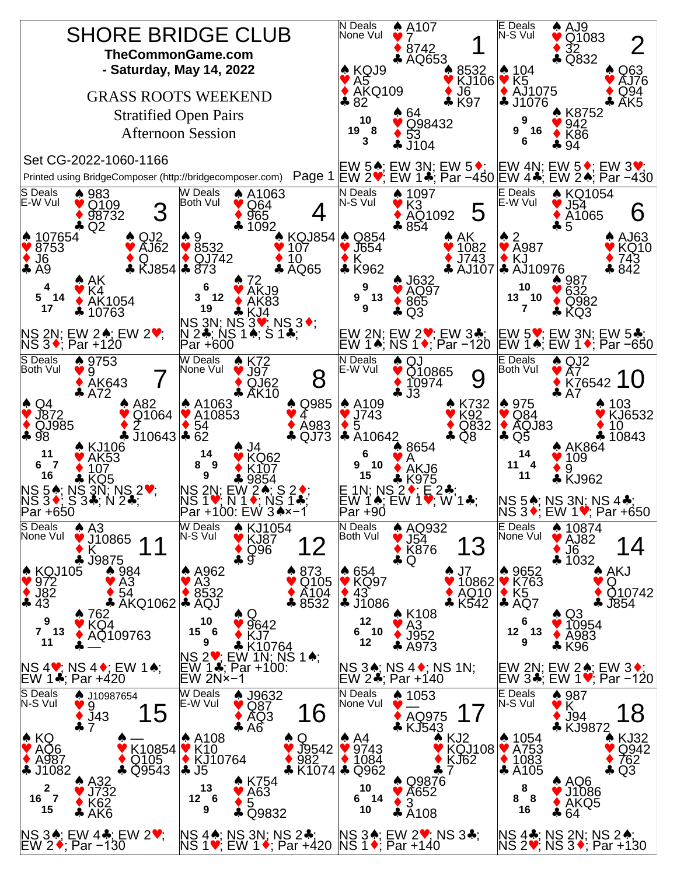